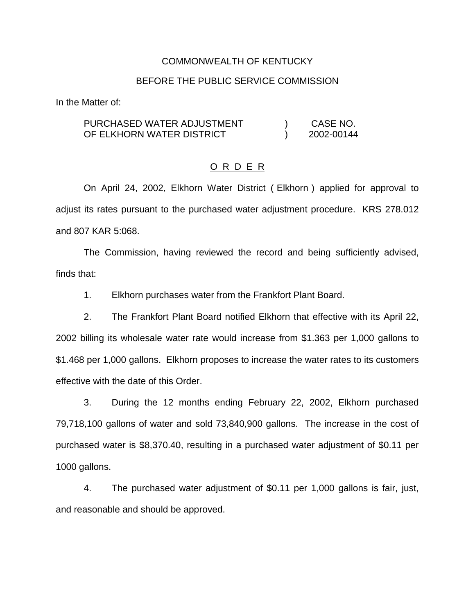#### COMMONWEALTH OF KENTUCKY

#### BEFORE THE PUBLIC SERVICE COMMISSION

In the Matter of:

#### PURCHASED WATER ADJUSTMENT OF ELKHORN WATER DISTRICT ) CASE NO. ) 2002-00144

#### O R D E R

On April 24, 2002, Elkhorn Water District ( Elkhorn ) applied for approval to adjust its rates pursuant to the purchased water adjustment procedure. KRS 278.012 and 807 KAR 5:068.

The Commission, having reviewed the record and being sufficiently advised, finds that:

1. Elkhorn purchases water from the Frankfort Plant Board.

2. The Frankfort Plant Board notified Elkhorn that effective with its April 22, 2002 billing its wholesale water rate would increase from \$1.363 per 1,000 gallons to \$1.468 per 1,000 gallons. Elkhorn proposes to increase the water rates to its customers effective with the date of this Order.

3. During the 12 months ending February 22, 2002, Elkhorn purchased 79,718,100 gallons of water and sold 73,840,900 gallons. The increase in the cost of purchased water is \$8,370.40, resulting in a purchased water adjustment of \$0.11 per 1000 gallons.

4. The purchased water adjustment of \$0.11 per 1,000 gallons is fair, just, and reasonable and should be approved.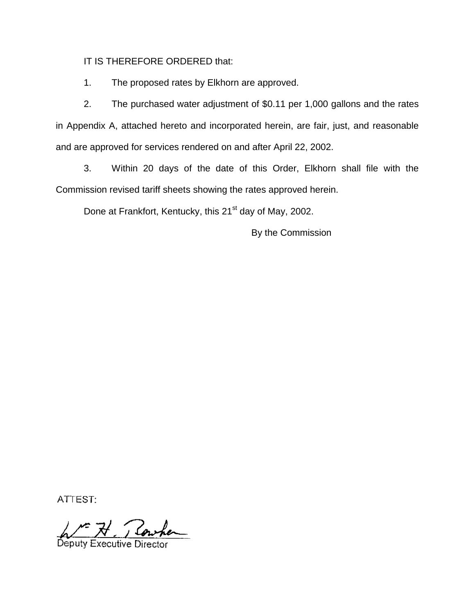IT IS THEREFORE ORDERED that:

1. The proposed rates by Elkhorn are approved.

2. The purchased water adjustment of \$0.11 per 1,000 gallons and the rates in Appendix A, attached hereto and incorporated herein, are fair, just, and reasonable and are approved for services rendered on and after April 22, 2002.

3. Within 20 days of the date of this Order, Elkhorn shall file with the Commission revised tariff sheets showing the rates approved herein.

Done at Frankfort, Kentucky, this 21<sup>st</sup> day of May, 2002.

By the Commission

ATTEST:

No 71 Rowhen